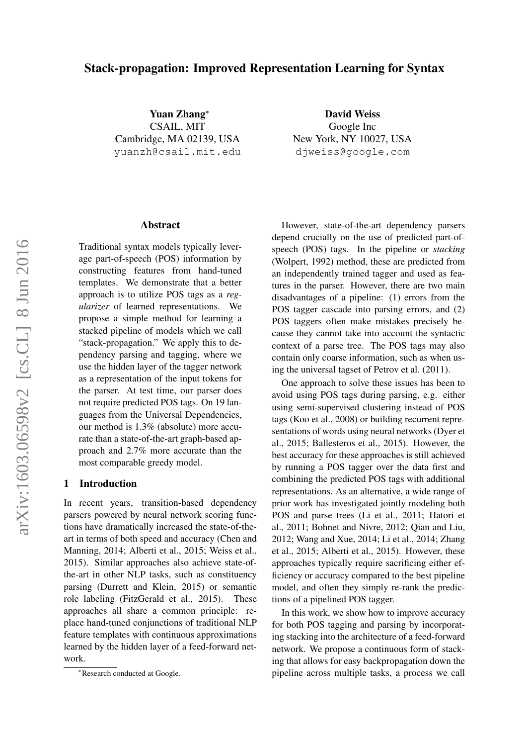# Stack-propagation: Improved Representation Learning for Syntax

Yuan Zhang<sup>∗</sup> CSAIL, MIT Cambridge, MA 02139, USA yuanzh@csail.mit.edu

David Weiss Google Inc New York, NY 10027, USA djweiss@google.com

#### Abstract

Traditional syntax models typically leverage part-of-speech (POS) information by constructing features from hand-tuned templates. We demonstrate that a better approach is to utilize POS tags as a *regularizer* of learned representations. We propose a simple method for learning a stacked pipeline of models which we call "stack-propagation." We apply this to dependency parsing and tagging, where we use the hidden layer of the tagger network as a representation of the input tokens for the parser. At test time, our parser does not require predicted POS tags. On 19 languages from the Universal Dependencies, our method is 1.3% (absolute) more accurate than a state-of-the-art graph-based approach and 2.7% more accurate than the most comparable greedy model.

## 1 Introduction

In recent years, transition-based dependency parsers powered by neural network scoring functions have dramatically increased the state-of-theart in terms of both speed and accuracy (Chen and Manning, 2014; Alberti et al., 2015; Weiss et al., 2015). Similar approaches also achieve state-ofthe-art in other NLP tasks, such as constituency parsing (Durrett and Klein, 2015) or semantic role labeling (FitzGerald et al., 2015). These approaches all share a common principle: replace hand-tuned conjunctions of traditional NLP feature templates with continuous approximations learned by the hidden layer of a feed-forward network.

However, state-of-the-art dependency parsers depend crucially on the use of predicted part-ofspeech (POS) tags. In the pipeline or *stacking* (Wolpert, 1992) method, these are predicted from an independently trained tagger and used as features in the parser. However, there are two main disadvantages of a pipeline: (1) errors from the POS tagger cascade into parsing errors, and (2) POS taggers often make mistakes precisely because they cannot take into account the syntactic context of a parse tree. The POS tags may also contain only coarse information, such as when using the universal tagset of Petrov et al. (2011).

One approach to solve these issues has been to avoid using POS tags during parsing, e.g. either using semi-supervised clustering instead of POS tags (Koo et al., 2008) or building recurrent representations of words using neural networks (Dyer et al., 2015; Ballesteros et al., 2015). However, the best accuracy for these approaches is still achieved by running a POS tagger over the data first and combining the predicted POS tags with additional representations. As an alternative, a wide range of prior work has investigated jointly modeling both POS and parse trees (Li et al., 2011; Hatori et al., 2011; Bohnet and Nivre, 2012; Qian and Liu, 2012; Wang and Xue, 2014; Li et al., 2014; Zhang et al., 2015; Alberti et al., 2015). However, these approaches typically require sacrificing either efficiency or accuracy compared to the best pipeline model, and often they simply re-rank the predictions of a pipelined POS tagger.

In this work, we show how to improve accuracy for both POS tagging and parsing by incorporating stacking into the architecture of a feed-forward network. We propose a continuous form of stacking that allows for easy backpropagation down the pipeline across multiple tasks, a process we call

<sup>∗</sup>Research conducted at Google.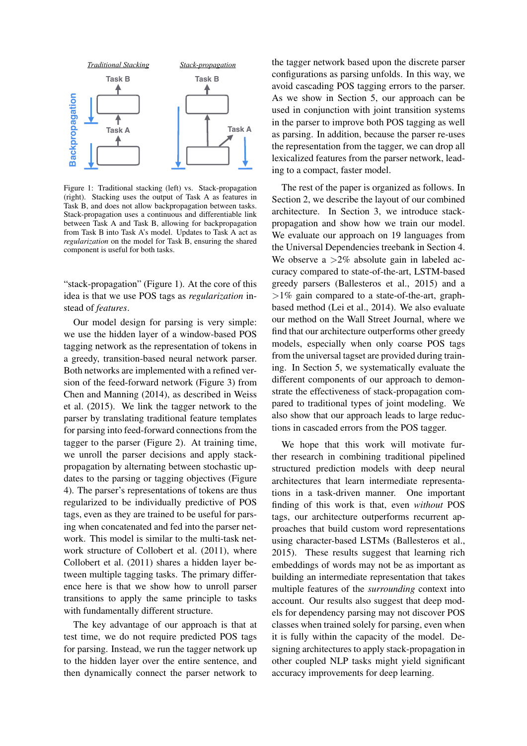

Figure 1: Traditional stacking (left) vs. Stack-propagation (right). Stacking uses the output of Task A as features in Task B, and does not allow backpropagation between tasks. Stack-propagation uses a continuous and differentiable link between Task A and Task B, allowing for backpropagation from Task B into Task A's model. Updates to Task A act as *regularization* on the model for Task B, ensuring the shared component is useful for both tasks.

"stack-propagation" (Figure 1). At the core of this idea is that we use POS tags as *regularization* instead of *features*.

Our model design for parsing is very simple: we use the hidden layer of a window-based POS tagging network as the representation of tokens in a greedy, transition-based neural network parser. Both networks are implemented with a refined version of the feed-forward network (Figure 3) from Chen and Manning (2014), as described in Weiss et al. (2015). We link the tagger network to the parser by translating traditional feature templates for parsing into feed-forward connections from the tagger to the parser (Figure 2). At training time, we unroll the parser decisions and apply stackpropagation by alternating between stochastic updates to the parsing or tagging objectives (Figure 4). The parser's representations of tokens are thus regularized to be individually predictive of POS tags, even as they are trained to be useful for parsing when concatenated and fed into the parser network. This model is similar to the multi-task network structure of Collobert et al. (2011), where Collobert et al. (2011) shares a hidden layer between multiple tagging tasks. The primary difference here is that we show how to unroll parser transitions to apply the same principle to tasks with fundamentally different structure.

The key advantage of our approach is that at test time, we do not require predicted POS tags for parsing. Instead, we run the tagger network up to the hidden layer over the entire sentence, and then dynamically connect the parser network to the tagger network based upon the discrete parser configurations as parsing unfolds. In this way, we avoid cascading POS tagging errors to the parser. As we show in Section 5, our approach can be used in conjunction with joint transition systems in the parser to improve both POS tagging as well as parsing. In addition, because the parser re-uses the representation from the tagger, we can drop all lexicalized features from the parser network, leading to a compact, faster model.

The rest of the paper is organized as follows. In Section 2, we describe the layout of our combined architecture. In Section 3, we introduce stackpropagation and show how we train our model. We evaluate our approach on 19 languages from the Universal Dependencies treebank in Section 4. We observe a  $>2\%$  absolute gain in labeled accuracy compared to state-of-the-art, LSTM-based greedy parsers (Ballesteros et al., 2015) and a  $>1\%$  gain compared to a state-of-the-art, graphbased method (Lei et al., 2014). We also evaluate our method on the Wall Street Journal, where we find that our architecture outperforms other greedy models, especially when only coarse POS tags from the universal tagset are provided during training. In Section 5, we systematically evaluate the different components of our approach to demonstrate the effectiveness of stack-propagation compared to traditional types of joint modeling. We also show that our approach leads to large reductions in cascaded errors from the POS tagger.

We hope that this work will motivate further research in combining traditional pipelined structured prediction models with deep neural architectures that learn intermediate representations in a task-driven manner. One important finding of this work is that, even *without* POS tags, our architecture outperforms recurrent approaches that build custom word representations using character-based LSTMs (Ballesteros et al., 2015). These results suggest that learning rich embeddings of words may not be as important as building an intermediate representation that takes multiple features of the *surrounding* context into account. Our results also suggest that deep models for dependency parsing may not discover POS classes when trained solely for parsing, even when it is fully within the capacity of the model. Designing architectures to apply stack-propagation in other coupled NLP tasks might yield significant accuracy improvements for deep learning.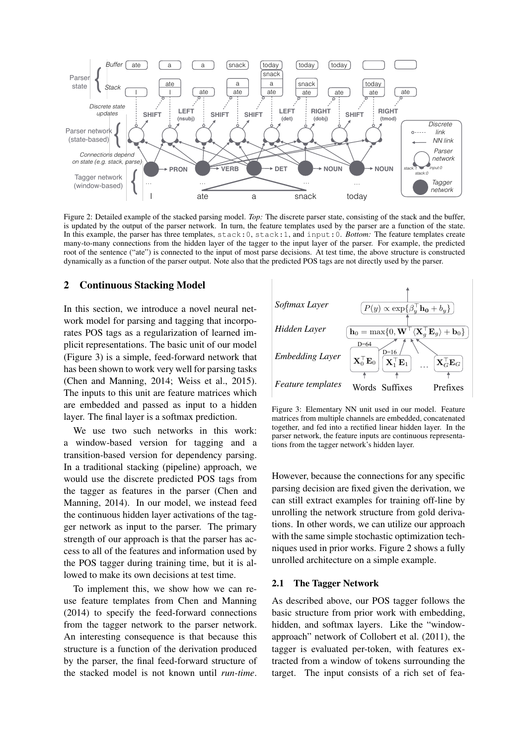

Figure 2: Detailed example of the stacked parsing model. *Top:* The discrete parser state, consisting of the stack and the buffer, is updated by the output of the parser network. In turn, the feature templates used by the parser are a function of the state. In this example, the parser has three templates, stack:0, stack:1, and input:0. *Bottom:* The feature templates create many-to-many connections from the hidden layer of the tagger to the input layer of the parser. For example, the predicted root of the sentence ("ate") is connected to the input of most parse decisions. At test time, the above structure is constructed dynamically as a function of the parser output. Note also that the predicted POS tags are not directly used by the parser.

### 2 Continuous Stacking Model

In this section, we introduce a novel neural network model for parsing and tagging that incorporates POS tags as a regularization of learned implicit representations. The basic unit of our model (Figure 3) is a simple, feed-forward network that has been shown to work very well for parsing tasks (Chen and Manning, 2014; Weiss et al., 2015). The inputs to this unit are feature matrices which are embedded and passed as input to a hidden layer. The final layer is a softmax prediction.

We use two such networks in this work:<br>window-based version for tagging and a<br>neition-based version for dependency parsing We use two such networks in this work:<br>a window-based version for tagging and a transition-based version for dependency parsing. In a traditional stacking (pipeline) approach, we would use the discrete predicted POS tags from the tagger as features in the parser (Chen and Manning, 2014). In our model, we instead feed the continuous hidden layer activations of the tagger network as input to the parser. The primary strength of our approach is that the parser has access to all of the features and information used by the POS tagger during training time, but it is allowed to make its own decisions at test time.

To implement this, we show how we can reuse feature templates from Chen and Manning (2014) to specify the feed-forward connections from the tagger network to the parser network. An interesting consequence is that because this structure is a function of the derivation produced by the parser, the final feed-forward structure of the stacked model is not known until *run-time*.



Figure 3: Elementary NN unit used in our model. Feature matrices from multiple channels are embedded, concatenated together, and fed into a rectified linear hidden layer. In the parser network, the feature inputs are continuous representations from the tagger network's hidden layer.

However, because the connections for any specific parsing decision are fixed given the derivation, we can still extract examples for training off-line by unrolling the network structure from gold derivations. In other words, we can utilize our approach with the same simple stochastic optimization techniques used in prior works. Figure 2 shows a fully unrolled architecture on a simple example.

#### 2.1 The Tagger Network

As described above, our POS tagger follows the basic structure from prior work with embedding, hidden, and softmax layers. Like the "windowapproach" network of Collobert et al. (2011), the tagger is evaluated per-token, with features extracted from a window of tokens surrounding the target. The input consists of a rich set of fea-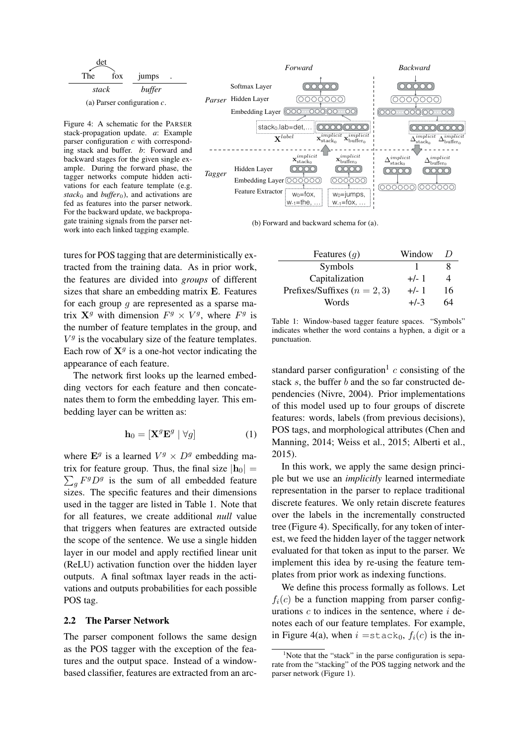

Figure 4: A schematic for the PARSER stack-propagation update. *a*: Example parser configuration  $c$  with corresponding stack and buffer. *b*: Forward and backward stages for the given single example. During the forward phase, the tagger networks compute hidden activations for each feature template (e.g. *stack*<sup>0</sup> and *buffer*<sup>0</sup>), and activations are fed as features into the parser network. For the backward update, we backpropagate training signals from the parser network into each linked tagging example.

tures for POS tagging that are deterministically extracted from the training data. As in prior work, the features are divided into *groups* of different sizes that share an embedding matrix E. Features for each group  $q$  are represented as a sparse matrix  $X^g$  with dimension  $F^g \times V^g$ , where  $F^g$  is the number of feature templates in the group, and  $V<sup>g</sup>$  is the vocabulary size of the feature templates. Each row of  $X<sup>g</sup>$  is a one-hot vector indicating the appearance of each feature.

The network first looks up the learned embedding vectors for each feature and then concatenates them to form the embedding layer. This embedding layer can be written as:

$$
\mathbf{h}_0 = \left[ \mathbf{X}^g \mathbf{E}^g \mid \forall g \right] \tag{1}
$$

where  $\mathbf{E}^g$  is a learned  $V^g \times D^g$  embedding matrix for feature group. Thus, the final size  $|\mathbf{h}_0| =$  $\sum_{g} F^{g} D^{g}$  is the sum of all embedded feature sizes. The specific features and their dimensions used in the tagger are listed in Table 1. Note that for all features, we create additional *null* value that triggers when features are extracted outside the scope of the sentence. We use a single hidden layer in our model and apply rectified linear unit (ReLU) activation function over the hidden layer outputs. A final softmax layer reads in the activations and outputs probabilities for each possible POS tag.

#### 2.2 The Parser Network

The parser component follows the same design as the POS tagger with the exception of the features and the output space. Instead of a windowbased classifier, features are extracted from an arc-



(b) Forward and backward schema for (a).

| Features $(g)$                   | Window | $\prime$ |
|----------------------------------|--------|----------|
| Symbols                          |        |          |
| Capitalization                   | $+/-1$ | 4        |
| Prefixes/Suffixes ( $n = 2, 3$ ) | $+/-1$ | 16       |
| Words                            | $+/-3$ | 64       |

Table 1: Window-based tagger feature spaces. "Symbols" indicates whether the word contains a hyphen, a digit or a punctuation.

standard parser configuration<sup>1</sup>  $c$  consisting of the stack s, the buffer b and the so far constructed dependencies (Nivre, 2004). Prior implementations of this model used up to four groups of discrete features: words, labels (from previous decisions), POS tags, and morphological attributes (Chen and Manning, 2014; Weiss et al., 2015; Alberti et al., 2015).

In this work, we apply the same design principle but we use an *implicitly* learned intermediate representation in the parser to replace traditional discrete features. We only retain discrete features over the labels in the incrementally constructed tree (Figure 4). Specifically, for any token of interest, we feed the hidden layer of the tagger network evaluated for that token as input to the parser. We implement this idea by re-using the feature templates from prior work as indexing functions.

We define this process formally as follows. Let  $f_i(c)$  be a function mapping from parser configurations  $c$  to indices in the sentence, where  $i$  denotes each of our feature templates. For example, in Figure 4(a), when  $i =$ stack<sub>0</sub>,  $f_i(c)$  is the in-

<sup>&</sup>lt;sup>1</sup>Note that the "stack" in the parse configuration is separate from the "stacking" of the POS tagging network and the parser network (Figure 1).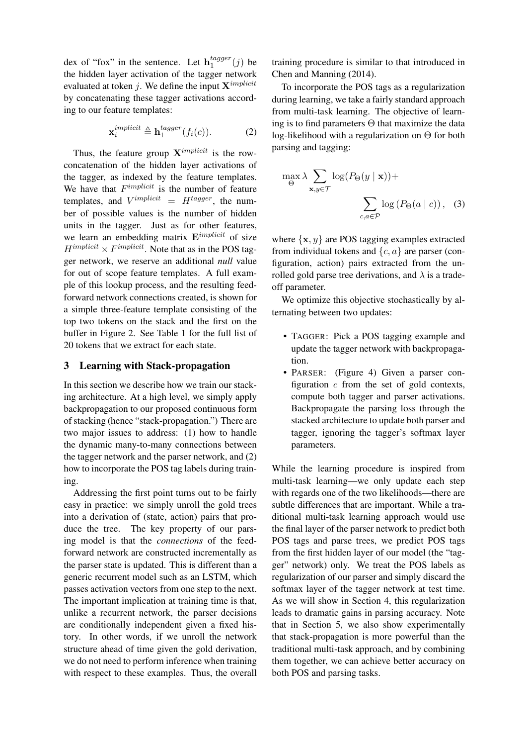dex of "fox" in the sentence. Let  $h_1^{tagger}$  $i_1^{tagger}(j)$  be the hidden layer activation of the tagger network evaluated at token j. We define the input  ${\bf X}^{implicit}$ by concatenating these tagger activations according to our feature templates:

$$
\mathbf{x}_{i}^{implicit} \triangleq \mathbf{h}_{1}^{tagger}(f_{i}(c)). \tag{2}
$$

Thus, the feature group  $X^{implicit}$  is the rowconcatenation of the hidden layer activations of the tagger, as indexed by the feature templates. We have that  $F^{implicit}$  is the number of feature templates, and  $V^{implicit} = H^{tagger}$ , the number of possible values is the number of hidden units in the tagger. Just as for other features, we learn an embedding matrix  $E^{implicit}$  of size  $H^{implicit} \times F^{implicit}$ . Note that as in the POS tagger network, we reserve an additional *null* value for out of scope feature templates. A full example of this lookup process, and the resulting feedforward network connections created, is shown for a simple three-feature template consisting of the top two tokens on the stack and the first on the buffer in Figure 2. See Table 1 for the full list of 20 tokens that we extract for each state.

## 3 Learning with Stack-propagation

In this section we describe how we train our stacking architecture. At a high level, we simply apply backpropagation to our proposed continuous form of stacking (hence "stack-propagation.") There are two major issues to address: (1) how to handle the dynamic many-to-many connections between the tagger network and the parser network, and (2) how to incorporate the POS tag labels during training.

Addressing the first point turns out to be fairly easy in practice: we simply unroll the gold trees into a derivation of (state, action) pairs that produce the tree. The key property of our parsing model is that the *connections* of the feedforward network are constructed incrementally as the parser state is updated. This is different than a generic recurrent model such as an LSTM, which passes activation vectors from one step to the next. The important implication at training time is that, unlike a recurrent network, the parser decisions are conditionally independent given a fixed history. In other words, if we unroll the network structure ahead of time given the gold derivation, we do not need to perform inference when training with respect to these examples. Thus, the overall training procedure is similar to that introduced in Chen and Manning (2014).

To incorporate the POS tags as a regularization during learning, we take a fairly standard approach from multi-task learning. The objective of learning is to find parameters Θ that maximize the data log-likelihood with a regularization on Θ for both parsing and tagging:

$$
\max_{\Theta} \lambda \sum_{\mathbf{x}, y \in \mathcal{T}} \log(P_{\Theta}(y \mid \mathbf{x})) + \sum_{c, a \in \mathcal{P}} \log(P_{\Theta}(a \mid c)), \quad (3)
$$

where  $\{x, y\}$  are POS tagging examples extracted from individual tokens and  $\{c, a\}$  are parser (configuration, action) pairs extracted from the unrolled gold parse tree derivations, and  $\lambda$  is a tradeoff parameter.

We optimize this objective stochastically by alternating between two updates:

- TAGGER: Pick a POS tagging example and update the tagger network with backpropagation.
- PARSER: (Figure 4) Given a parser configuration  $c$  from the set of gold contexts, compute both tagger and parser activations. Backpropagate the parsing loss through the stacked architecture to update both parser and tagger, ignoring the tagger's softmax layer parameters.

While the learning procedure is inspired from multi-task learning—we only update each step with regards one of the two likelihoods—there are subtle differences that are important. While a traditional multi-task learning approach would use the final layer of the parser network to predict both POS tags and parse trees, we predict POS tags from the first hidden layer of our model (the "tagger" network) only. We treat the POS labels as regularization of our parser and simply discard the softmax layer of the tagger network at test time. As we will show in Section 4, this regularization leads to dramatic gains in parsing accuracy. Note that in Section 5, we also show experimentally that stack-propagation is more powerful than the traditional multi-task approach, and by combining them together, we can achieve better accuracy on both POS and parsing tasks.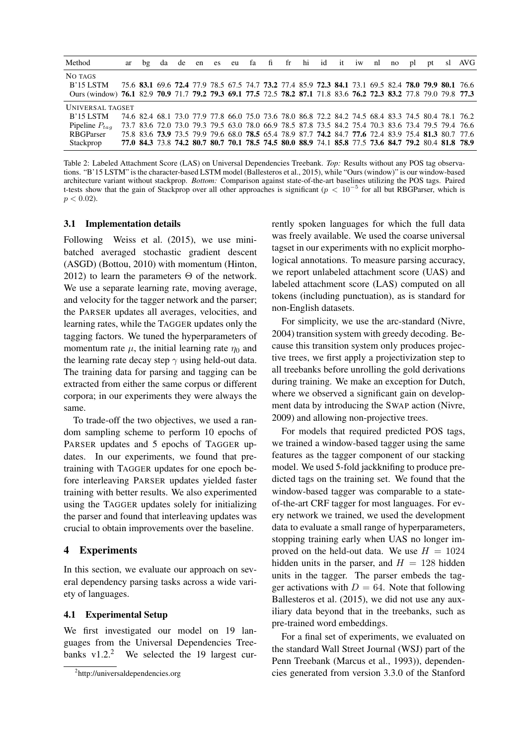| Method                                                                                                                                      | ar | bg | da |  |  |  |  | de en es eu fa fi fr hi id it iw nl |  | no | pl | pt | -sl | AVG                                                                                                 |
|---------------------------------------------------------------------------------------------------------------------------------------------|----|----|----|--|--|--|--|-------------------------------------|--|----|----|----|-----|-----------------------------------------------------------------------------------------------------|
| NO TAGS<br>$B'15$ LSTM<br>Ours (window) 76.1 82.9 70.9 71.7 79.2 79.3 69.1 77.5 72.5 78.2 87.1 71.8 83.6 76.2 72.3 83.2 77.8 79.0 79.8 77.3 |    |    |    |  |  |  |  |                                     |  |    |    |    |     | 75.6 83.1 69.6 72.4 77.9 78.5 67.5 74.7 73.2 77.4 85.9 72.3 84.1 73.1 69.5 82.4 78.0 79.9 80.1 76.6 |
| UNIVERSAL TAGSET                                                                                                                            |    |    |    |  |  |  |  |                                     |  |    |    |    |     |                                                                                                     |
| $B'15$ LSTM                                                                                                                                 |    |    |    |  |  |  |  |                                     |  |    |    |    |     | 74.6 82.4 68.1 73.0 77.9 77.8 66.0 75.0 73.6 78.0 86.8 72.2 84.2 74.5 68.4 83.3 74.5 80.4 78.1 76.2 |
| Pipeline $P_{tag}$                                                                                                                          |    |    |    |  |  |  |  |                                     |  |    |    |    |     | 73.7 83.6 72.0 73.0 79.3 79.5 63.0 78.0 66.9 78.5 87.8 73.5 84.2 75.4 70.3 83.6 73.4 79.5 79.4 76.6 |
| <b>RBGParser</b>                                                                                                                            |    |    |    |  |  |  |  |                                     |  |    |    |    |     | 75.8 83.6 73.9 73.5 79.9 79.6 68.0 78.5 65.4 78.9 87.7 74.2 84.7 77.6 72.4 83.9 75.4 81.3 80.7 77.6 |
| Stackprop                                                                                                                                   |    |    |    |  |  |  |  |                                     |  |    |    |    |     | 77.0 84.3 73.8 74.2 80.7 80.7 70.1 78.5 74.5 80.0 88.9 74.1 85.8 77.5 73.6 84.7 79.2 80.4 81.8 78.9 |

Table 2: Labeled Attachment Score (LAS) on Universal Dependencies Treebank. *Top:* Results without any POS tag observations. "B'15 LSTM" is the character-based LSTM model (Ballesteros et al., 2015), while "Ours (window)" is our window-based architecture variant without stackprop. *Bottom:* Comparison against state-of-the-art baselines utilizing the POS tags. Paired t-tests show that the gain of Stackprop over all other approaches is significant ( $p < 10^{-5}$  for all but RBGParser, which is  $p < 0.02$ ).

#### 3.1 Implementation details

Following Weiss et al. (2015), we use minibatched averaged stochastic gradient descent (ASGD) (Bottou, 2010) with momentum (Hinton, 2012) to learn the parameters  $\Theta$  of the network. We use a separate learning rate, moving average, and velocity for the tagger network and the parser; the PARSER updates all averages, velocities, and learning rates, while the TAGGER updates only the tagging factors. We tuned the hyperparameters of momentum rate  $\mu$ , the initial learning rate  $\eta_0$  and the learning rate decay step  $\gamma$  using held-out data. The training data for parsing and tagging can be extracted from either the same corpus or different corpora; in our experiments they were always the same.

To trade-off the two objectives, we used a random sampling scheme to perform 10 epochs of PARSER updates and 5 epochs of TAGGER updates. In our experiments, we found that pretraining with TAGGER updates for one epoch before interleaving PARSER updates yielded faster training with better results. We also experimented using the TAGGER updates solely for initializing the parser and found that interleaving updates was crucial to obtain improvements over the baseline.

### 4 Experiments

In this section, we evaluate our approach on several dependency parsing tasks across a wide variety of languages.

#### 4.1 Experimental Setup

We first investigated our model on 19 languages from the Universal Dependencies Treebanks  $v1.2<sup>2</sup>$  We selected the 19 largest currently spoken languages for which the full data was freely available. We used the coarse universal tagset in our experiments with no explicit morphological annotations. To measure parsing accuracy, we report unlabeled attachment score (UAS) and labeled attachment score (LAS) computed on all tokens (including punctuation), as is standard for non-English datasets.

For simplicity, we use the arc-standard (Nivre, 2004) transition system with greedy decoding. Because this transition system only produces projective trees, we first apply a projectivization step to all treebanks before unrolling the gold derivations during training. We make an exception for Dutch, where we observed a significant gain on development data by introducing the SWAP action (Nivre, 2009) and allowing non-projective trees.

For models that required predicted POS tags, we trained a window-based tagger using the same features as the tagger component of our stacking model. We used 5-fold jackknifing to produce predicted tags on the training set. We found that the window-based tagger was comparable to a stateof-the-art CRF tagger for most languages. For every network we trained, we used the development data to evaluate a small range of hyperparameters, stopping training early when UAS no longer improved on the held-out data. We use  $H = 1024$ hidden units in the parser, and  $H = 128$  hidden units in the tagger. The parser embeds the tagger activations with  $D = 64$ . Note that following Ballesteros et al. (2015), we did not use any auxiliary data beyond that in the treebanks, such as pre-trained word embeddings.

For a final set of experiments, we evaluated on the standard Wall Street Journal (WSJ) part of the Penn Treebank (Marcus et al., 1993)), dependencies generated from version 3.3.0 of the Stanford

<sup>2</sup> http://universaldependencies.org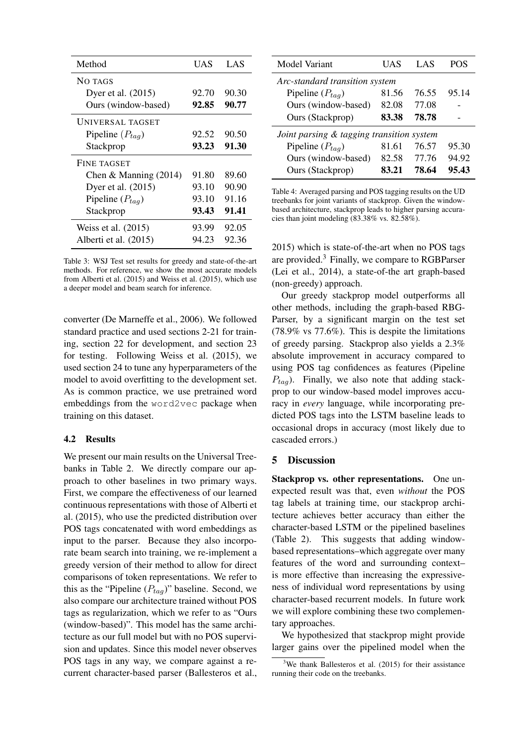| Method                  | UAS   | LAS   |
|-------------------------|-------|-------|
| NO TAGS                 |       |       |
| Dyer et al. (2015)      | 92.70 | 90.30 |
| Ours (window-based)     | 92.85 | 90.77 |
| <b>UNIVERSAL TAGSET</b> |       |       |
| Pipeline $(P_{taq})$    | 92.52 | 90.50 |
| Stackprop               | 93.23 | 91.30 |
| FINE TAGSET             |       |       |
| Chen & Manning $(2014)$ | 91.80 | 89.60 |
| Dyer et al. (2015)      | 93.10 | 90.90 |
| Pipeline $(P_{taq})$    | 93.10 | 91.16 |
| Stackprop               | 93.43 | 91.41 |
| Weiss et al. $(2015)$   | 93.99 | 92.05 |
| Alberti et al. (2015)   | 94.23 | 92.36 |

Table 3: WSJ Test set results for greedy and state-of-the-art methods. For reference, we show the most accurate models from Alberti et al. (2015) and Weiss et al. (2015), which use a deeper model and beam search for inference.

converter (De Marneffe et al., 2006). We followed standard practice and used sections 2-21 for training, section 22 for development, and section 23 for testing. Following Weiss et al. (2015), we used section 24 to tune any hyperparameters of the model to avoid overfitting to the development set. As is common practice, we use pretrained word embeddings from the word2vec package when training on this dataset.

#### 4.2 Results

We present our main results on the Universal Treebanks in Table 2. We directly compare our approach to other baselines in two primary ways. First, we compare the effectiveness of our learned continuous representations with those of Alberti et al. (2015), who use the predicted distribution over POS tags concatenated with word embeddings as input to the parser. Because they also incorporate beam search into training, we re-implement a greedy version of their method to allow for direct comparisons of token representations. We refer to this as the "Pipeline  $(P_{taq})$ " baseline. Second, we also compare our architecture trained without POS tags as regularization, which we refer to as "Ours (window-based)". This model has the same architecture as our full model but with no POS supervision and updates. Since this model never observes POS tags in any way, we compare against a recurrent character-based parser (Ballesteros et al.,

| Model Variant                             | UAS   | LAS   | POS   |  |  |  |  |  |
|-------------------------------------------|-------|-------|-------|--|--|--|--|--|
| Arc-standard transition system            |       |       |       |  |  |  |  |  |
| Pipeline $(P_{tag})$                      | 81.56 | 76.55 | 95.14 |  |  |  |  |  |
| Ours (window-based)                       | 82.08 | 77.08 |       |  |  |  |  |  |
| Ours (Stackprop)                          | 83.38 | 78.78 |       |  |  |  |  |  |
| Joint parsing & tagging transition system |       |       |       |  |  |  |  |  |
| Pipeline $(P_{tag})$                      | 81.61 | 76.57 | 95.30 |  |  |  |  |  |
| Ours (window-based)                       | 82.58 | 77.76 | 94.92 |  |  |  |  |  |
| Ours (Stackprop)                          | 83.21 | 78.64 | 95.43 |  |  |  |  |  |

Table 4: Averaged parsing and POS tagging results on the UD treebanks for joint variants of stackprop. Given the windowbased architecture, stackprop leads to higher parsing accuracies than joint modeling (83.38% vs. 82.58%).

2015) which is state-of-the-art when no POS tags are provided.<sup>3</sup> Finally, we compare to RGBParser (Lei et al., 2014), a state-of-the art graph-based (non-greedy) approach.

Our greedy stackprop model outperforms all other methods, including the graph-based RBG-Parser, by a significant margin on the test set (78.9% vs 77.6%). This is despite the limitations of greedy parsing. Stackprop also yields a 2.3% absolute improvement in accuracy compared to using POS tag confidences as features (Pipeline  $P_{taq}$ ). Finally, we also note that adding stackprop to our window-based model improves accuracy in *every* language, while incorporating predicted POS tags into the LSTM baseline leads to occasional drops in accuracy (most likely due to cascaded errors.)

### 5 Discussion

Stackprop vs. other representations. One unexpected result was that, even *without* the POS tag labels at training time, our stackprop architecture achieves better accuracy than either the character-based LSTM or the pipelined baselines (Table 2). This suggests that adding windowbased representations–which aggregate over many features of the word and surrounding context– is more effective than increasing the expressiveness of individual word representations by using character-based recurrent models. In future work we will explore combining these two complementary approaches.

We hypothesized that stackprop might provide larger gains over the pipelined model when the

<sup>&</sup>lt;sup>3</sup>We thank Ballesteros et al.  $(2015)$  for their assistance running their code on the treebanks.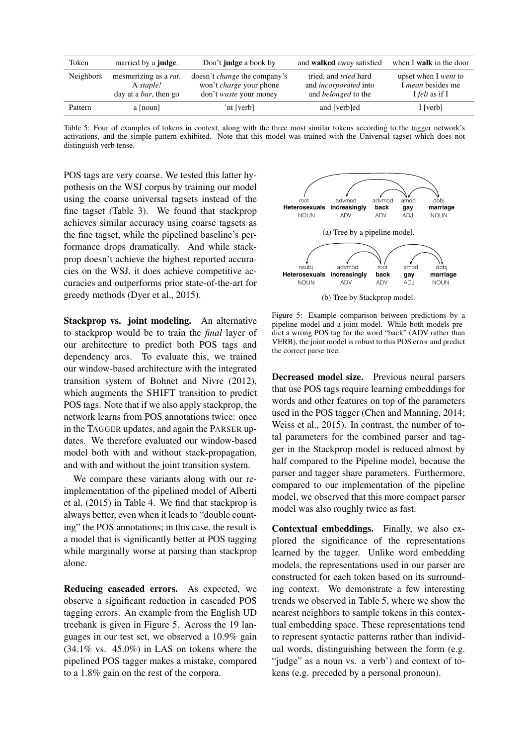| Token            | married by a <b>judge</b> .                                                 | Don't <b>judge</b> a book by                                                                           | and <b>walked</b> away satisfied                                                           | when I walk in the door                                                          |
|------------------|-----------------------------------------------------------------------------|--------------------------------------------------------------------------------------------------------|--------------------------------------------------------------------------------------------|----------------------------------------------------------------------------------|
| <b>Neighbors</b> | mesmerizing as a <i>rat</i> .<br>A staple!<br>day at a <i>bar</i> , then go | doesn't <i>change</i> the company's<br>won't <i>charge</i> your phone<br>don't <i>waste</i> your money | tried, and <i>tried</i> hard<br>and <i>incorporated</i> into<br>and <i>belonged</i> to the | upset when I <i>went</i> to<br>I <i>mean</i> besides me<br>I <i>felt</i> as if I |
| Pattern          | a [noun]                                                                    | 'nt [verb]                                                                                             | and [verb]ed                                                                               | I [verb]                                                                         |

Table 5: Four of examples of tokens in context, along with the three most similar tokens according to the tagger network's activations, and the simple pattern exhibited. Note that this model was trained with the Universal tagset which does not distinguish verb tense.

POS tags are very coarse. We tested this latter hypothesis on the WSJ corpus by training our model using the coarse universal tagsets instead of the fine tagset (Table 3). We found that stackprop achieves similar accuracy using coarse tagsets as the fine tagset, while the pipelined baseline's performance drops dramatically. And while stackprop doesn't achieve the highest reported accuracies on the WSJ, it does achieve competitive accuracies and outperforms prior state-of-the-art for greedy methods (Dyer et al., 2015).

Stackprop vs. joint modeling. An alternative to stackprop would be to train the *final* layer of our architecture to predict both POS tags and dependency arcs. To evaluate this, we trained our window-based architecture with the integrated transition system of Bohnet and Nivre (2012), which augments the SHIFT transition to predict POS tags. Note that if we also apply stackprop, the network learns from POS annotations twice: once in the TAGGER updates, and again the PARSER updates. We therefore evaluated our window-based model both with and without stack-propagation, and with and without the joint transition system.

We compare these variants along with our reimplementation of the pipelined model of Alberti et al. (2015) in Table 4. We find that stackprop is always better, even when it leads to "double counting" the POS annotations; in this case, the result is a model that is significantly better at POS tagging while marginally worse at parsing than stackprop alone.

Reducing cascaded errors. As expected, we observe a significant reduction in cascaded POS tagging errors. An example from the English UD treebank is given in Figure 5. Across the 19 languages in our test set, we observed a 10.9% gain  $(34.1\% \text{ vs. } 45.0\%)$  in LAS on tokens where the pipelined POS tagger makes a mistake, compared to a 1.8% gain on the rest of the corpora.



Figure 5: Example comparison between predictions by a pipeline model and a joint model. While both models predict a wrong POS tag for the word "back" (ADV rather than VERB), the joint model is robust to this POS error and predict the correct parse tree.

Decreased model size. Previous neural parsers that use POS tags require learning embeddings for words and other features on top of the parameters used in the POS tagger (Chen and Manning, 2014; Weiss et al., 2015). In contrast, the number of total parameters for the combined parser and tagger in the Stackprop model is reduced almost by half compared to the Pipeline model, because the parser and tagger share parameters. Furthermore, compared to our implementation of the pipeline model, we observed that this more compact parser model was also roughly twice as fast.

Contextual embeddings. Finally, we also explored the significance of the representations learned by the tagger. Unlike word embedding models, the representations used in our parser are constructed for each token based on its surrounding context. We demonstrate a few interesting trends we observed in Table 5, where we show the nearest neighbors to sample tokens in this contextual embedding space. These representations tend to represent syntactic patterns rather than individual words, distinguishing between the form (e.g. "judge" as a noun vs. a verb') and context of tokens (e.g. preceded by a personal pronoun).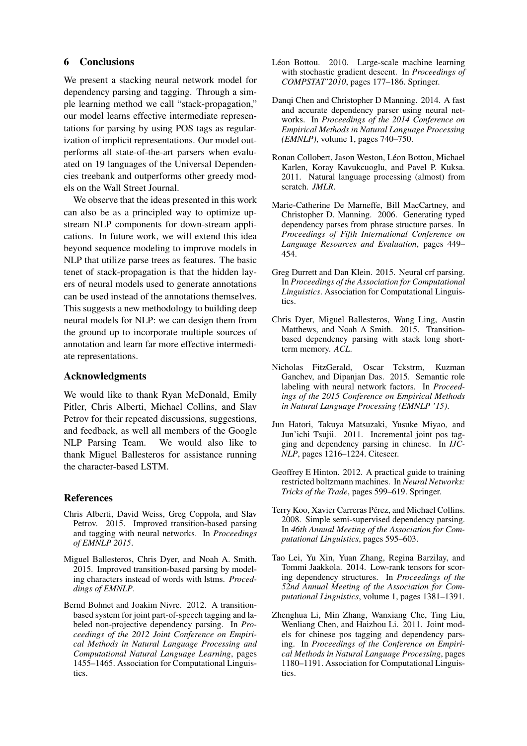### 6 Conclusions

We present a stacking neural network model for dependency parsing and tagging. Through a simple learning method we call "stack-propagation," our model learns effective intermediate representations for parsing by using POS tags as regularization of implicit representations. Our model outperforms all state-of-the-art parsers when evaluated on 19 languages of the Universal Dependencies treebank and outperforms other greedy models on the Wall Street Journal.

We observe that the ideas presented in this work can also be as a principled way to optimize upstream NLP components for down-stream applications. In future work, we will extend this idea beyond sequence modeling to improve models in NLP that utilize parse trees as features. The basic tenet of stack-propagation is that the hidden layers of neural models used to generate annotations can be used instead of the annotations themselves. This suggests a new methodology to building deep neural models for NLP: we can design them from the ground up to incorporate multiple sources of annotation and learn far more effective intermediate representations.

### Acknowledgments

We would like to thank Ryan McDonald, Emily Pitler, Chris Alberti, Michael Collins, and Slav Petrov for their repeated discussions, suggestions, and feedback, as well all members of the Google NLP Parsing Team. We would also like to thank Miguel Ballesteros for assistance running the character-based LSTM.

### References

- Chris Alberti, David Weiss, Greg Coppola, and Slav Petrov. 2015. Improved transition-based parsing and tagging with neural networks. In *Proceedings of EMNLP 2015*.
- Miguel Ballesteros, Chris Dyer, and Noah A. Smith. 2015. Improved transition-based parsing by modeling characters instead of words with lstms. *Proceddings of EMNLP*.
- Bernd Bohnet and Joakim Nivre. 2012. A transitionbased system for joint part-of-speech tagging and labeled non-projective dependency parsing. In *Proceedings of the 2012 Joint Conference on Empirical Methods in Natural Language Processing and Computational Natural Language Learning*, pages 1455–1465. Association for Computational Linguistics.
- Léon Bottou. 2010. Large-scale machine learning with stochastic gradient descent. In *Proceedings of COMPSTAT'2010*, pages 177–186. Springer.
- Danqi Chen and Christopher D Manning. 2014. A fast and accurate dependency parser using neural networks. In *Proceedings of the 2014 Conference on Empirical Methods in Natural Language Processing (EMNLP)*, volume 1, pages 740–750.
- Ronan Collobert, Jason Weston, Léon Bottou, Michael Karlen, Koray Kavukcuoglu, and Pavel P. Kuksa. 2011. Natural language processing (almost) from scratch. *JMLR*.
- Marie-Catherine De Marneffe, Bill MacCartney, and Christopher D. Manning. 2006. Generating typed dependency parses from phrase structure parses. In *Proceedings of Fifth International Conference on Language Resources and Evaluation*, pages 449– 454.
- Greg Durrett and Dan Klein. 2015. Neural crf parsing. In *Proceedings of the Association for Computational Linguistics*. Association for Computational Linguistics.
- Chris Dyer, Miguel Ballesteros, Wang Ling, Austin Matthews, and Noah A Smith. 2015. Transitionbased dependency parsing with stack long shortterm memory. *ACL*.
- Nicholas FitzGerald, Oscar Tckstrm, Kuzman Ganchev, and Dipanjan Das. 2015. Semantic role labeling with neural network factors. In *Proceedings of the 2015 Conference on Empirical Methods in Natural Language Processing (EMNLP '15)*.
- Jun Hatori, Takuya Matsuzaki, Yusuke Miyao, and Jun'ichi Tsujii. 2011. Incremental joint pos tagging and dependency parsing in chinese. In *IJC-NLP*, pages 1216–1224. Citeseer.
- Geoffrey E Hinton. 2012. A practical guide to training restricted boltzmann machines. In *Neural Networks: Tricks of the Trade*, pages 599–619. Springer.
- Terry Koo, Xavier Carreras Pérez, and Michael Collins. 2008. Simple semi-supervised dependency parsing. In *46th Annual Meeting of the Association for Computational Linguistics*, pages 595–603.
- Tao Lei, Yu Xin, Yuan Zhang, Regina Barzilay, and Tommi Jaakkola. 2014. Low-rank tensors for scoring dependency structures. In *Proceedings of the 52nd Annual Meeting of the Association for Computational Linguistics*, volume 1, pages 1381–1391.
- Zhenghua Li, Min Zhang, Wanxiang Che, Ting Liu, Wenliang Chen, and Haizhou Li. 2011. Joint models for chinese pos tagging and dependency parsing. In *Proceedings of the Conference on Empirical Methods in Natural Language Processing*, pages 1180–1191. Association for Computational Linguistics.